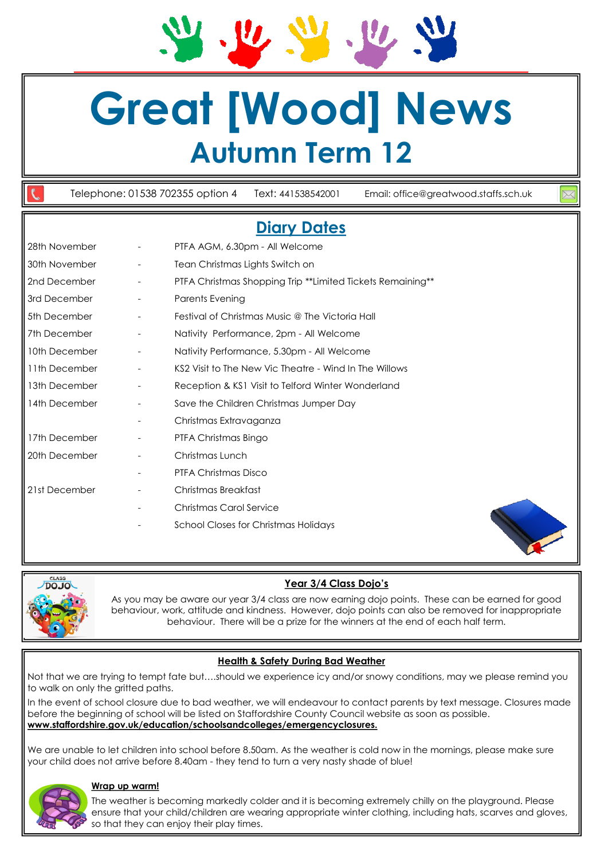**Great [Wood] News**

# **Autumn Term 12**

Telephone: 01538 702355 option 4 Text: 441538542001 Email: office@greatwood.staffs.sch.uk

# **Diary Dates**

| 28th November |                          | PTFA AGM, 6.30pm - All Welcome                             |
|---------------|--------------------------|------------------------------------------------------------|
| 30th November | $\overline{\phantom{a}}$ | Tean Christmas Lights Switch on                            |
| 2nd December  | $\overline{\phantom{a}}$ | PTFA Christmas Shopping Trip **Limited Tickets Remaining** |
| 3rd December  | $\overline{\phantom{a}}$ | Parents Evening                                            |
| 5th December  | $\overline{\phantom{a}}$ | Festival of Christmas Music @ The Victoria Hall            |
| 7th December  |                          | Nativity Performance, 2pm - All Welcome                    |
| 10th December |                          | Nativity Performance, 5.30pm - All Welcome                 |
| 11th December |                          | KS2 Visit to The New Vic Theatre - Wind In The Willows     |
| 13th December |                          | Reception & KS1 Visit to Telford Winter Wonderland         |
| 14th December |                          | Save the Children Christmas Jumper Day                     |
|               | $\overline{\phantom{a}}$ | Christmas Extravaganza                                     |
| 17th December |                          | PTFA Christmas Bingo                                       |
| 20th December |                          | Christmas Lunch                                            |
|               |                          | PTFA Christmas Disco                                       |
| 21st December | $\overline{\phantom{a}}$ | Christmas Breakfast                                        |
|               |                          | Christmas Carol Service                                    |
|               |                          | School Closes for Christmas Holidays                       |
|               |                          |                                                            |



**Year 3/4 Class Dojo's**

As you may be aware our year 3/4 class are now earning dojo points. These can be earned for good behaviour, work, attitude and kindness. However, dojo points can also be removed for inappropriate behaviour. There will be a prize for the winners at the end of each half term.

### **Health & Safety During Bad Weather**

Not that we are trying to tempt fate but….should we experience icy and/or snowy conditions, may we please remind you to walk on only the gritted paths.

In the event of school closure due to bad weather, we will endeavour to contact parents by text message. Closures made before the beginning of school will be listed on Staffordshire County Council website as soon as possible. **www.staffordshire.gov.uk/education/schoolsandcolleges/emergencyclosures.** 

We are unable to let children into school before 8.50am. As the weather is cold now in the mornings, please make sure your child does not arrive before 8.40am - they tend to turn a very nasty shade of blue!



#### **Wrap up warm!**

The weather is becoming markedly colder and it is becoming extremely chilly on the playground. Please ensure that your child/children are wearing appropriate winter clothing, including hats, scarves and gloves, so that they can enjoy their play times.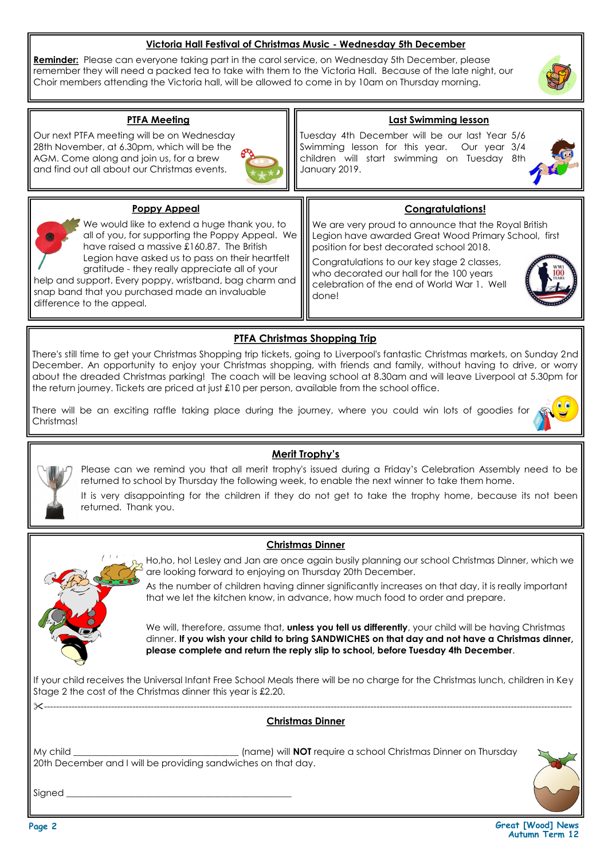#### **Victoria Hall Festival of Christmas Music - Wednesday 5th December**

**Reminder:** Please can everyone taking part in the carol service, on Wednesday 5th December, please remember they will need a packed tea to take with them to the Victoria Hall. Because of the late night, our Choir members attending the Victoria hall, will be allowed to come in by 10am on Thursday morning.

#### **PTFA Meeting**

Our next PTFA meeting will be on Wednesday 28th November, at 6.30pm, which will be the AGM. Come along and join us, for a brew and find out all about our Christmas events.



#### **Last Swimming lesson**

Tuesday 4th December will be our last Year 5/6 Swimming lesson for this year. Our year 3/4 children will start swimming on Tuesday 8th January 2019.



#### **Poppy Appeal**



We would like to extend a huge thank you, to all of you, for supporting the Poppy Appeal. We have raised a massive £160.87. The British Legion have asked us to pass on their heartfelt gratitude - they really appreciate all of your

help and support. Every poppy, wristband, bag charm and snap band that you purchased made an invaluable difference to the appeal.

**Congratulations!**

We are very proud to announce that the Royal British Legion have awarded Great Wood Primary School, first position for best decorated school 2018.

Congratulations to our key stage 2 classes, who decorated our hall for the 100 years celebration of the end of World War 1. Well done!



# **PTFA Christmas Shopping Trip**

There's still time to get your Christmas Shopping trip tickets, going to Liverpool's fantastic Christmas markets, on Sunday 2nd December. An opportunity to enjoy your Christmas shopping, with friends and family, without having to drive, or worry about the dreaded Christmas parking! The coach will be leaving school at 8.30am and will leave Liverpool at 5.30pm for the return journey. Tickets are priced at just £10 per person, available from the school office.

There will be an exciting raffle taking place during the journey, where you could win lots of goodies for Christmas!



# **Merit Trophy's**

Please can we remind you that all merit trophy's issued during a Friday's Celebration Assembly need to be returned to school by Thursday the following week, to enable the next winner to take them home.

It is very disappointing for the children if they do not get to take the trophy home, because its not been returned. Thank you.

#### **Christmas Dinner**



Ho,ho, ho! Lesley and Jan are once again busily planning our school Christmas Dinner, which we are looking forward to enjoying on Thursday 20th December.

As the number of children having dinner significantly increases on that day, it is really important that we let the kitchen know, in advance, how much food to order and prepare.

We will, therefore, assume that, **unless you tell us differently**, your child will be having Christmas dinner. **If you wish your child to bring SANDWICHES on that day and not have a Christmas dinner, please complete and return the reply slip to school, before Tuesday 4th December**.

If your child receives the Universal Infant Free School Meals there will be no charge for the Christmas lunch, children in Key Stage 2 the cost of the Christmas dinner this year is £2.20.

#### ----------------------------------------------------------------------------------------------------------------------------------------------------------------------------- **Christmas Dinner**

My child \_\_\_\_\_\_\_\_\_\_\_\_\_\_\_\_\_\_\_\_\_\_\_\_\_\_\_\_\_\_\_\_\_\_\_\_ (name) will **NOT** require a school Christmas Dinner on Thursday 20th December and I will be providing sandwiches on that day.